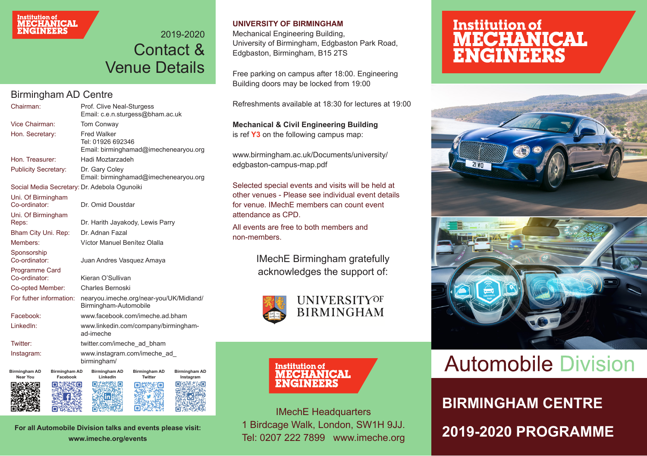# Institution of<br>**MECHANICAL**<br>**ENGINEERS**

### 2019-2020 Contact & Venue Details

### Birmingham AD Centre

| Chairman:                              |                                  | Prof. Clive Neal-Sturgess<br>Email: c.e.n.sturgess@bham.ac.uk                    |                          |                            |  |
|----------------------------------------|----------------------------------|----------------------------------------------------------------------------------|--------------------------|----------------------------|--|
| Vice Chairman:                         |                                  | Tom Conway                                                                       |                          |                            |  |
| Hon. Secretary:                        |                                  | <b>Fred Walker</b><br>Tel: 01926 692346<br>Email: birminghamad@imechenearyou.org |                          |                            |  |
| Hon. Treasurer:                        |                                  | Hadi Moztarzadeh                                                                 |                          |                            |  |
| <b>Publicity Secretary:</b>            |                                  | Dr. Gary Coley<br>Email: birminghamad@imechenearyou.org                          |                          |                            |  |
|                                        |                                  | Social Media Secretary: Dr. Adebola Ogunoiki                                     |                          |                            |  |
| Uni. Of Birmingham<br>Co-ordinator:    |                                  | Dr. Omid Doustdar                                                                |                          |                            |  |
| Uni. Of Birmingham<br>Reps:            |                                  | Dr. Harith Jayakody, Lewis Parry                                                 |                          |                            |  |
| Bham City Uni. Rep:                    |                                  | Dr. Adnan Fazal                                                                  |                          |                            |  |
| Members:                               |                                  | Víctor Manuel Benítez Olalla                                                     |                          |                            |  |
| Sponsorship<br>Co-ordinator:           |                                  | Juan Andres Vasquez Amaya                                                        |                          |                            |  |
| <b>Programme Card</b><br>Co-ordinator: |                                  | Kieran O'Sullivan                                                                |                          |                            |  |
| Co-opted Member:                       |                                  | Charles Bernoski                                                                 |                          |                            |  |
| For futher information:                |                                  | nearyou.imeche.org/near-you/UK/Midland/<br>Birmingham-Automobile                 |                          |                            |  |
| Facebook:                              |                                  | www.facebook.com/imeche.ad.bham                                                  |                          |                            |  |
| LinkedIn:                              |                                  | www.linkedin.com/company/birmingham-<br>ad-imeche                                |                          |                            |  |
| Twitter:                               |                                  | twitter.com/imeche_ad_bham                                                       |                          |                            |  |
| Instagram:                             |                                  | www.instagram.com/imeche_ad<br>birmingham/                                       |                          |                            |  |
| Birmingham AD<br><b>Near You</b>       | <b>Birmingham AD</b><br>Facebook | Birmingham AD<br>LinkedIn                                                        | Birmingham AD<br>Twitter | Birmingham AD<br>Instagram |  |
| 同意発表回                                  | 日素料生物口                           | 向水线聚合                                                                            | 向群然起向                    | <b>回染酵类蛋回</b>              |  |

**For all Automobile Division talks and events please visit: www.imeche.org/events**

#### **UNIVERSITY OF BIRMINGHAM**

Mechanical Engineering Building, University of Birmingham, Edgbaston Park Road, Edgbaston, Birmingham, B15 2TS

Free parking on campus after 18:00. Engineering Building doors may be locked from 19:00

Refreshments available at 18:30 for lectures at 19:00

**Mechanical & Civil Engineering Building** is ref **Y3** on the following campus map:

www.birmingham.ac.uk/Documents/university/ edgbaston-campus-map.pdf

Selected special events and visits will be held at other venues - Please see individual event details for venue. IMechE members can count event attendance as CPD.

All events are free to both members and non-members.

> IMechE Birmingham gratefully acknowledges the support of:



**Institution of**<br>**MECHANICAL** ENGINEERS

1 Birdcage Walk, London, SW1H 9JJ.

## **Institution of MECHANICAL**<br>ENGINEERS



### **Automobile Division**

**IMechE Headquarters BIRMINGHAM CENTRE** Tel: 0207 222 7899 www.imeche.org **2019-2020 PROGRAMME**